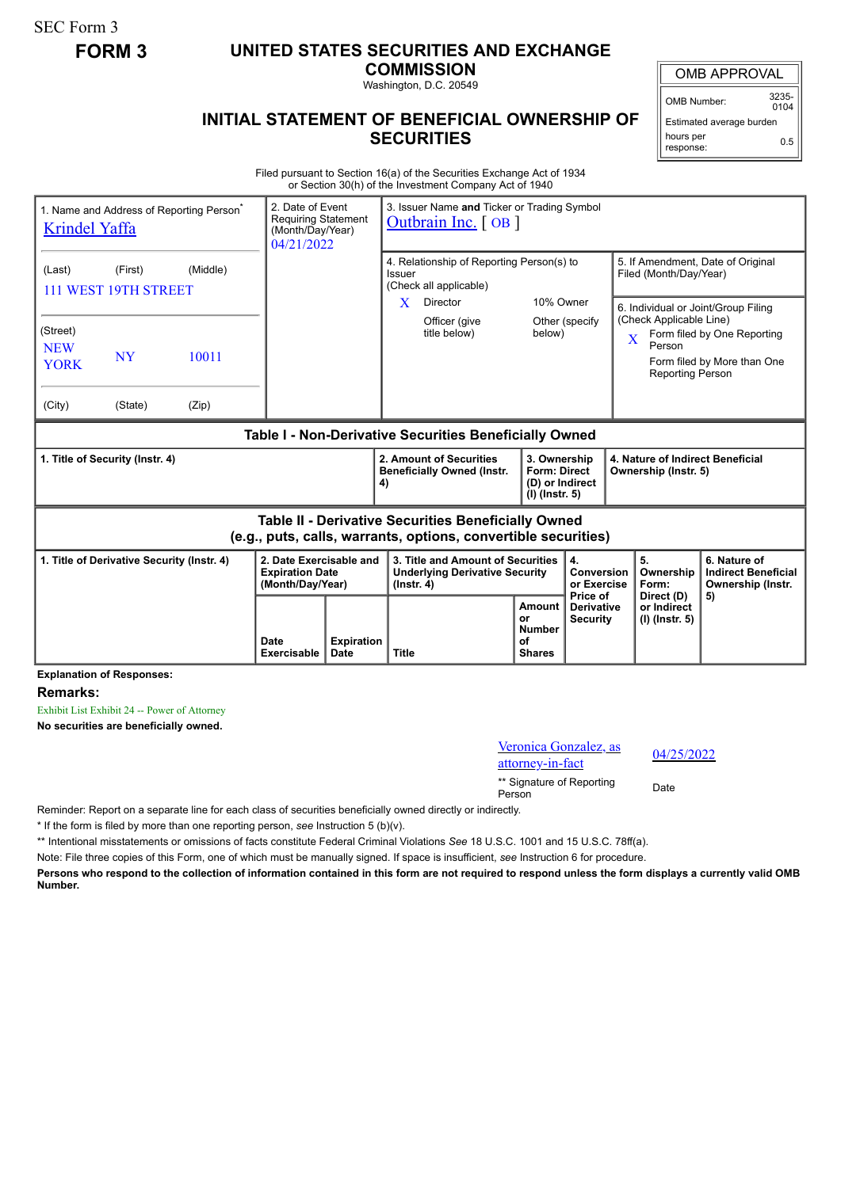SEC Form 3

## **FORM 3 UNITED STATES SECURITIES AND EXCHANGE**

**COMMISSION**

Washington, D.C. 20549

## **INITIAL STATEMENT OF BENEFICIAL OWNERSHIP OF SECURITIES**

OMB APPROVAL OMB Number: 3235-

 $0104$ Estimated average burden hours per 0.5

response:

Filed pursuant to Section 16(a) of the Securities Exchange Act of 1934 or Section 30(h) of the Investment Company Act of 1940

| 1. Name and Address of Reporting Person <sup>®</sup><br><b>Krindel Yaffa</b>                                                |         |       | 2. Date of Event<br><b>Requiring Statement</b><br>(Month/Day/Year)<br>04/21/2022 |                                  | 3. Issuer Name and Ticker or Trading Symbol<br>Outbrain Inc. $\lceil$ OB $\rceil$                                                                |                                                        |                                                             |                                                                                                                                                                                                                                  |                                             |                                                                 |
|-----------------------------------------------------------------------------------------------------------------------------|---------|-------|----------------------------------------------------------------------------------|----------------------------------|--------------------------------------------------------------------------------------------------------------------------------------------------|--------------------------------------------------------|-------------------------------------------------------------|----------------------------------------------------------------------------------------------------------------------------------------------------------------------------------------------------------------------------------|---------------------------------------------|-----------------------------------------------------------------|
| (Middle)<br>(Last)<br>(First)<br><b>111 WEST 19TH STREET</b><br>(Street)<br><b>NEW</b><br><b>NY</b><br>10011<br><b>YORK</b> |         |       |                                                                                  | Issuer<br>X                      | 4. Relationship of Reporting Person(s) to<br>(Check all applicable)<br>Director<br>Officer (give<br>title below)                                 | 10% Owner<br>below)                                    | Other (specify                                              | 5. If Amendment, Date of Original<br>Filed (Month/Day/Year)<br>6. Individual or Joint/Group Filing<br>(Check Applicable Line)<br>Form filed by One Reporting<br>$\overline{\mathbf{X}}$<br>Person<br>Form filed by More than One |                                             |                                                                 |
| (City)                                                                                                                      | (State) | (Zip) |                                                                                  |                                  |                                                                                                                                                  | Table I - Non-Derivative Securities Beneficially Owned |                                                             |                                                                                                                                                                                                                                  | <b>Reporting Person</b>                     |                                                                 |
| 1. Title of Security (Instr. 4)                                                                                             |         |       |                                                                                  |                                  | 2. Amount of Securities<br>3. Ownership<br><b>Beneficially Owned (Instr.</b><br><b>Form: Direct</b><br>(D) or Indirect<br>4)<br>$(I)$ (Instr. 5) |                                                        |                                                             | 4. Nature of Indirect Beneficial<br>Ownership (Instr. 5)                                                                                                                                                                         |                                             |                                                                 |
| Table II - Derivative Securities Beneficially Owned<br>(e.g., puts, calls, warrants, options, convertible securities)       |         |       |                                                                                  |                                  |                                                                                                                                                  |                                                        |                                                             |                                                                                                                                                                                                                                  |                                             |                                                                 |
| 1. Title of Derivative Security (Instr. 4)                                                                                  |         |       | 2. Date Exercisable and<br><b>Expiration Date</b><br>(Month/Day/Year)            |                                  | 3. Title and Amount of Securities<br><b>Underlying Derivative Security</b><br>$($ lnstr. 4 $)$                                                   |                                                        |                                                             | 4.<br>Conversion<br>or Exercise                                                                                                                                                                                                  | 5.<br>Ownership<br>Form:                    | 6. Nature of<br><b>Indirect Beneficial</b><br>Ownership (Instr. |
|                                                                                                                             |         |       | Date<br>Exercisable                                                              | <b>Expiration</b><br><b>Date</b> | <b>Title</b>                                                                                                                                     |                                                        | <b>Amount</b><br>or<br><b>Number</b><br>Ωf<br><b>Shares</b> | Price of<br><b>Derivative</b><br><b>Security</b>                                                                                                                                                                                 | Direct (D)<br>or Indirect<br>(I) (Instr. 5) | 5)                                                              |

**Explanation of Responses:**

**Remarks:**

Exhibit List Exhibit 24 -- Power of Attorney

**No securities are beneficially owned.**

Veronica Gonzalez, as veronica Gonzaiez, as<br> $\frac{04}{25/2022}$ 

\*\* Signature of Reporting <sub>Date</sub><br>Person

Reminder: Report on a separate line for each class of securities beneficially owned directly or indirectly.

\* If the form is filed by more than one reporting person, *see* Instruction 5 (b)(v).

\*\* Intentional misstatements or omissions of facts constitute Federal Criminal Violations *See* 18 U.S.C. 1001 and 15 U.S.C. 78ff(a).

Note: File three copies of this Form, one of which must be manually signed. If space is insufficient, *see* Instruction 6 for procedure.

**Persons who respond to the collection of information contained in this form are not required to respond unless the form displays a currently valid OMB Number.**